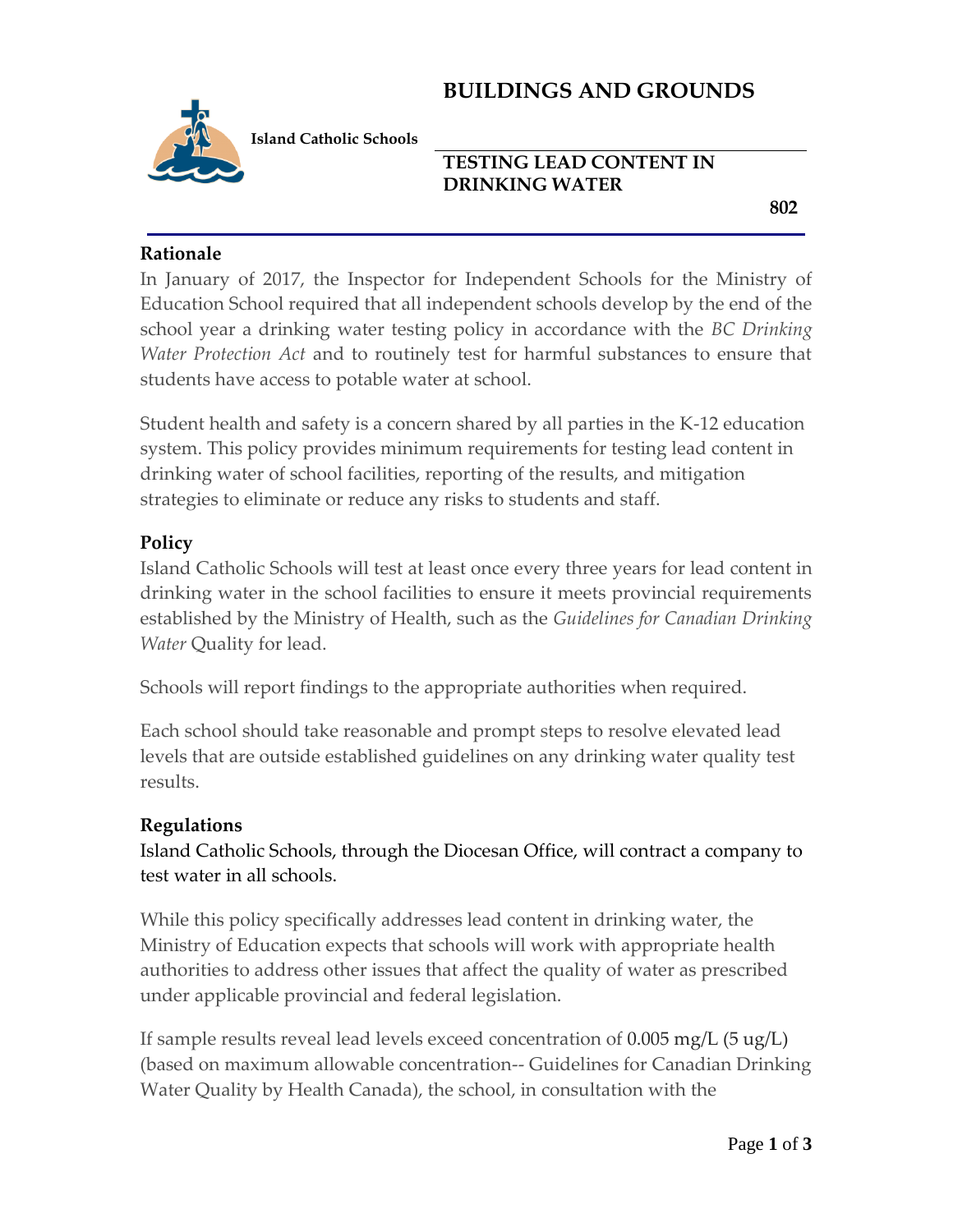# **BUILDINGS AND GROUNDS**



**Island Catholic Schools** 

## **TESTING LEAD CONTENT IN DRINKING WATER**

 **802**

### **Rationale**

In January of 2017, the Inspector for Independent Schools for the Ministry of Education School required that all independent schools develop by the end of the school year a drinking water testing policy in accordance with the *BC Drinking Water Protection Act* and to routinely test for harmful substances to ensure that students have access to potable water at school.

Student health and safety is a concern shared by all parties in the K-12 education system. This policy provides minimum requirements for testing lead content in drinking water of school facilities, reporting of the results, and mitigation strategies to eliminate or reduce any risks to students and staff.

### **Policy**

Island Catholic Schools will test at least once every three years for lead content in drinking water in the school facilities to ensure it meets provincial requirements established by the Ministry of Health, such as the *Guidelines for Canadian Drinking Water* Quality for lead.

Schools will report findings to the appropriate authorities when required.

Each school should take reasonable and prompt steps to resolve elevated lead levels that are outside established guidelines on any drinking water quality test results.

#### **Regulations**

Island Catholic Schools, through the Diocesan Office, will contract a company to test water in all schools.

While this policy specifically addresses lead content in drinking water, the Ministry of Education expects that schools will work with appropriate health authorities to address other issues that affect the quality of water as prescribed under applicable provincial and federal legislation.

If sample results reveal lead levels exceed concentration of 0.005 mg/L (5 ug/L) (based on maximum allowable concentration-- Guidelines for Canadian Drinking Water Quality by Health Canada), the school, in consultation with the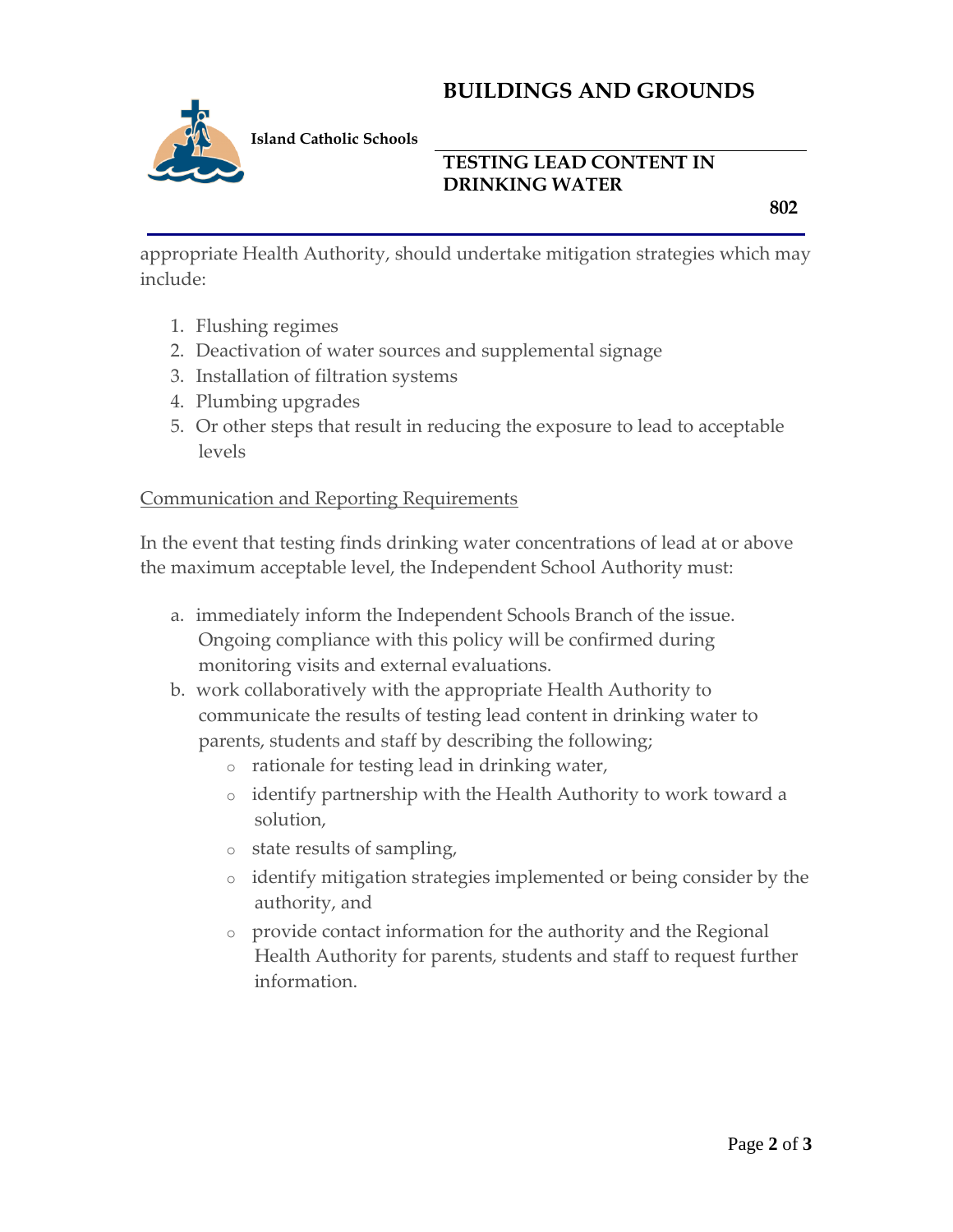# **BUILDINGS AND GROUNDS**



### **TESTING LEAD CONTENT IN DRINKING WATER**

 **802**

appropriate Health Authority, should undertake mitigation strategies which may include:

- 1. Flushing regimes
- 2. Deactivation of water sources and supplemental signage
- 3. Installation of filtration systems
- 4. Plumbing upgrades
- 5. Or other steps that result in reducing the exposure to lead to acceptable levels

### Communication and Reporting Requirements

In the event that testing finds drinking water concentrations of lead at or above the maximum acceptable level, the Independent School Authority must:

- a. immediately inform the Independent Schools Branch of the issue. Ongoing compliance with this policy will be confirmed during monitoring visits and external evaluations.
- b. work collaboratively with the appropriate Health Authority to communicate the results of testing lead content in drinking water to parents, students and staff by describing the following;
	- o rationale for testing lead in drinking water,
	- o identify partnership with the Health Authority to work toward a solution,
	- o state results of sampling,
	- o identify mitigation strategies implemented or being consider by the authority, and
	- provide contact information for the authority and the Regional Health Authority for parents, students and staff to request further information.